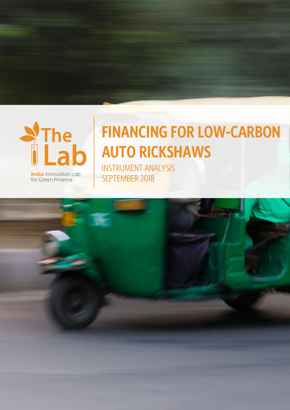

for Green Finance

# **FINANCING FOR LOW-CARBON AUTO RICKSHAWS**

INSTRUMENT ANALYSIS SEPTEMBER 2018

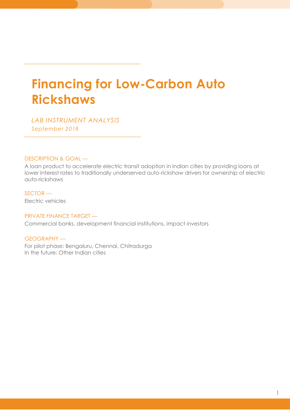## **Financing for Low-Carbon Auto Rickshaws**

*LAB INSTRUMENT ANALYSIS September 2018* 

#### DESCRIPTION & GOAL —

A loan product to accelerate electric transit adoption in Indian cities by providing loans at lower interest rates to traditionally underserved auto-rickshaw drivers for ownership of electric auto-rickshaws

SECTOR — Electric vehicles

l

l

#### PRIVATE FINANCE TARGET —

Commercial banks, development financial institutions, impact investors

GEOGRAPHY — For pilot phase: Bengaluru, Chennai, Chitradurga In the future: Other Indian cities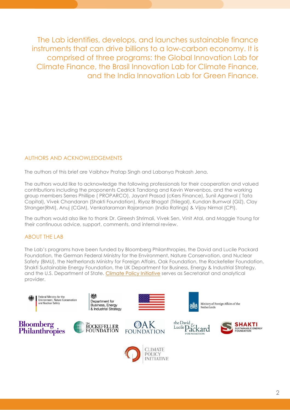The Lab identifies, develops, and launches sustainable finance instruments that can drive billions to a low-carbon economy. It is comprised of three programs: the Global Innovation Lab for Climate Finance, the Brasil Innovation Lab for Climate Finance, and the India Innovation Lab for Green Finance.

#### AUTHORS AND ACKNOWLEDGEMENTS

The authors of this brief are Vaibhav Pratap Singh and Labanya Prakash Jena.

The authors would like to acknowledge the following professionals for their cooperation and valued contributions including the proponents Cedrick Tandong and Kevin Wervenbos, and the working group members Serres Phillipe ( PROPARCO), Jayant Prasad (cKers Finance), Sunil Agarwal ( Tata Capital), Vivek Chandaran (Shakti Foundation), Riyaz Bhagat (Trilegal), Kundan Burnwal (GIZ), Clay Stranger(RMI), Anuj (CGM), Venkataraman Rajaraman (India Ratings) & Vijay Nirmal (CPI).

The authors would also like to thank Dr. Gireesh Shrimali, Vivek Sen, Vinit Atal, and Maggie Young for their continuous advice, support, comments, and internal review.

#### ABOUT THE LAB

The Lab's programs have been funded by Bloomberg Philanthropies, the David and Lucile Packard Foundation, the German Federal Ministry for the Environment, Nature Conservation, and Nuclear Safety (BMU), the Netherlands Ministry for Foreign Affairs, Oak Foundation, the Rockefeller Foundation, Shakti Sustainable Energy Foundation, the UK Department for Business, Energy & Industrial Strategy, and the U.S. Department of State. [Climate Policy Initiative](https://climatepolicyinitiative.org/) serves as Secretariat and analytical provider.

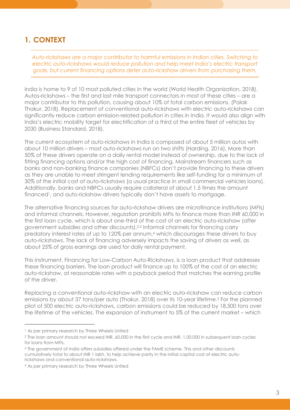## **1. CONTEXT**

*Auto-rickshaws are a major contributor to harmful emissions in Indian cities. Switching to electric auto-rickshaws would reduce pollution and help meet India's electric transport goals, but current financing options deter auto-rickshaw drivers from purchasing them.* 

India is home to 9 of 10 most polluted cities in the world (World Health Organization, 2018). Autos-rickshaws – the first and last mile transport connectors in most of these cities – are a major contributor to this pollution, causing about 10% of total carbon emissions. (Palak Thakur, 2018). Replacement of conventional auto-rickshaws with electric auto-rickshaws can significantly reduce carbon emission-related pollution in cities in India. It would also align with India's electric mobility target for electrification of a third of the entire fleet of vehicles by 2030 (Business Standard, 2018).

The current ecosystem of auto-rickshaws in India is composed of about 5 million autos with about 10 million drivers – most auto-rickshaws run on two shifts (Harding, 2016). More than 50% of these drivers operate on a daily rental model instead of ownership, due to the lack of fitting financing options and/or the high cost of financing. Mainstream financers such as banks and non-banking finance companies (NBFCs) don't provide financing to these drivers as they are unable to meet stringent lending requirements like self-funding for a minimum of 30% of the initial cost of auto-rickshaws (a usual practice in small commercial vehicles loans). Additionally, banks and NBFCs usually require collateral of about 1.5 times the amount financed<sup>1</sup> , and auto-rickshaw drivers typically don't have assets to mortgage.

The alternative financing sources for auto-rickshaw drivers are microfinance institutions (MFIs) and informal channels. However, regulation prohibits MFIs to finance more than INR 60,000 in the first loan cycle, which is about one-third of the cost of an electric auto-rickshaw (after government subsidies and other discounts).2,3 Informal channels for financing carry predatory interest rates of up to 120% per annum,<sup>4</sup> which discourages these drivers to buy auto-rickshaws. The lack of financing adversely impacts the saving of drivers as well, as about 25% of gross earnings are used for daily rental payment.

This instrument, Financing for Low-Carbon Auto-Rickshaws, is a loan product that addresses these financing barriers. The loan product will finance up to 100% of the cost of an electric auto-rickshaw, at reasonable rates with a payback period that matches the earning profile of the driver.

Replacing a conventional auto-rickshaw with an electric auto-rickshaw can reduce carbon emissions by about 37 tons/per auto (Thakur, 2018) over its 10-year lifetime.<sup>5</sup> For the planned pilot of 500 electric auto-rickshaws, carbon emissions could be reduced by 18,500 tons over the lifetime of the vehicles. The expansion of instrument to 5% of the current market – which

֦

3 The government of India offers subsidies offered under the FAME scheme. This and other discounts cumulatively total to about INR 1 lakh, to help achieve parity in the initial capital cost of electric autorickshaws and conventional auto-rickshaws.

<sup>&</sup>lt;sup>1</sup> As per primary research by Three Wheels United

<sup>2</sup> The [loan amount should not exceed INR. 60,000 in the first cycle and INR. 1,00,000 in subsequent loan cycles](https://rbi.org.in/Scripts/BS_NBFCNotificationView.aspx?Id=9651)  for loans from MFIs.

<sup>4</sup> As per primary research by Three Wheels United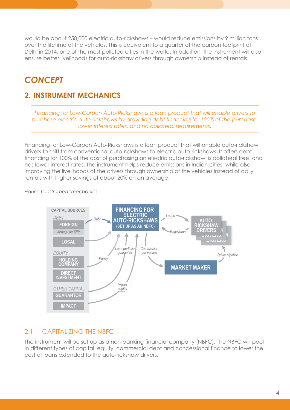would be about 250,000 electric auto-rickshaws – would reduce emissions by 9 million tons over the lifetime of the vehicles. This is equivalent to a quarter of the carbon footprint of Delhi in 2014, one of the most polluted cities in the world. In addition, the instrument will also ensure better livelihoods for auto-rickshaw drivers through ownership instead of rentals.

## *CONCEPT*

## **2. INSTRUMENT MECHANICS**

*Financing for Low-Carbon Auto-Rickshaws is a loan product that will enable drivers to purchase electric auto-rickshaws by providing debt financing for 100% of the purchase, lower interest rates, and no collateral requirements.* 

Financing for Low-Carbon Auto-Rickshaws is a loan product that will enable auto-rickshaw drivers to shift from conventional auto-rickshaws to electric auto-rickshaws. It offers debt financing for 100% of the cost of purchasing an electric auto-rickshaw, is collateral free, and has lower interest rates. The instrument helps reduce emissions in Indian cities, while also improving the livelihoods of the drivers through ownership of the vehicles instead of daily rentals with higher savings of about 20% on an average.

#### *Figure 1: Instrument mechanics*



## 2.1 CAPITALIZING THE NBFC

The instrument will be set up as a non-banking financial company (NBFC). The NBFC will pool in different types of capital: equity, commercial debt and concessional finance to lower the cost of loans extended to the auto-rickshaw drivers.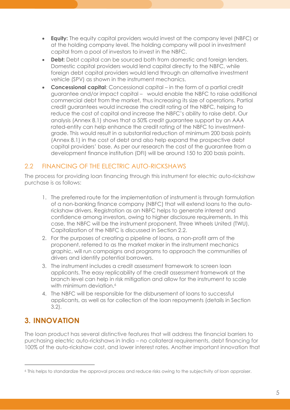- **Equity:** The equity capital providers would invest at the company level (NBFC) or at the holding company level. The holding company will pool in investment capital from a pool of investors to invest in the NBFC.
- **Debt:** Debt capital can be sourced both from domestic and foreign lenders. Domestic capital providers would lend capital directly to the NBFC, while foreign debt capital providers would lend through an alternative investment vehicle (SPV) as shown in the instrument mechanics.
- **Concessional capital**: Concessional capital in the form of a partial credit guarantee and/or impact capital – would enable the NBFC to raise additional commercial debt from the market, thus increasing its size of operations. Partial credit guarantees would increase the credit rating of the NBFC, helping to reduce the cost of capital and increase the NBFC's ability to raise debt. Our analysis (Annex 8.1) shows that a 50% credit guarantee support by an AAA rated-entity can help enhance the credit rating of the NBFC to investmentgrade. This would result in a substantial reduction of minimum 200 basis points (Annex 8.1) in the cost of debt and also help expand the prospective debt capital providers' base. As per our research the cost of the guarantee from a development finance institution (DFI) will be around 150 to 200 basis points.

## 2.2 FINANCING OF THE ELECTRIC AUTO-RICKSHAWS

The process for providing loan financing through this instrument for electric auto-rickshaw purchase is as follows:

- 1. The preferred route for the implementation of instrument is through formulation of a non-banking finance company (NBFC) that will extend loans to the autorickshaw drivers. Registration as an NBFC helps to generate interest and confidence among investors, owing to higher disclosure requirements. In this case, the NBFC will be the instrument proponent, Three Wheels United (TWU). Capitalization of the NBFC is discussed in Section 2.2.
- 2. For the purposes of creating a pipeline of loans, a non-profit arm of the proponent, referred to as the market maker in the instrument mechanics graphic, will run campaigns and programs to approach the communities of drivers and identify potential borrowers.
- 3. The instrument includes a credit assessment framework to screen loan applicants. The easy replicability of the credit assessment framework at the branch level can help in risk mitigation and allow for the instrument to scale with minimum deviation.<sup>6</sup>
- 4. The NBFC will be responsible for the disbursement of loans to successful applicants, as well as for collection of the loan repayments (details in Section 3.2).

## **3. INNOVATION**

֦

The loan product has several distinctive features that will address the financial barriers to purchasing electric auto-rickshaws in India – no collateral requirements, debt financing for 100% of the auto-rickshaw cost, and lower interest rates. Another important innovation that

<sup>6</sup> This helps to standardize the approval process and reduce risks owing to the subjectivity of loan appraiser.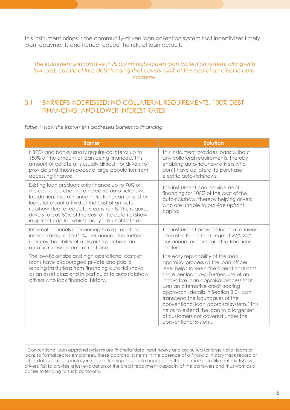this instrument brings is the community-driven loan collection system that incentivizes timely loan repayments and hence reduce the risks of loan default.

*The instrument is innovative in its community-driven loan collection system, along with low-cost, collateral-free debt funding that covers 100% of the cost of an electric autorickshaw.* 

#### 3.1 BARRIERS ADDRESSED: NO COLLATERAL REQUIREMENTS, 100% DEBT FINANCING, AND LOWER INTEREST RATES

*Table 1: How the instrument addresses barriers to financing* 

| <b>Barrier</b>                                                                                                                                                                                                                                                                                                                                                                        | <b>Solution</b>                                                                                                                                                                                                                                                                                                                                                                                                                                                                                   |
|---------------------------------------------------------------------------------------------------------------------------------------------------------------------------------------------------------------------------------------------------------------------------------------------------------------------------------------------------------------------------------------|---------------------------------------------------------------------------------------------------------------------------------------------------------------------------------------------------------------------------------------------------------------------------------------------------------------------------------------------------------------------------------------------------------------------------------------------------------------------------------------------------|
| NBFCs and banks usually require collateral up to<br>150% of the amount of loan being financed. This<br>amount of collateral is usually difficult for drivers to<br>provide and thus impedes a large population from<br>accessing finance.                                                                                                                                             | This instrument provides loans without<br>any collateral requirements, thereby<br>enabling auto-rickshaw drivers who<br>don't have collateral to purchase<br>electric auto-rickshaws.                                                                                                                                                                                                                                                                                                             |
| Existing loan products only finance up to 70% of<br>the cost of purchasing an electric auto-rickshaw.<br>In addition, microfinance institutions can only offer<br>loans for about a third of the cost of an auto-<br>rickshaw due to regulatory constraints. This requires<br>drivers to pay 30% of the cost of the auto-rickshaw<br>in upfront capital, which many are unable to do. | The instrument can provide debt<br>financing for 100% of the cost of the<br>auto-rickshaw, thereby helping drivers<br>who are unable to provide upfront<br>capital.                                                                                                                                                                                                                                                                                                                               |
| Informal channels of financing have predatory<br>interest rates, up to 120% per annum. This further<br>reduces the ability of a driver to purchase an<br>auto-rickshaw instead of rent one.                                                                                                                                                                                           | The instrument provides loans at a lower<br>interest rate – in the range of 22%-24%<br>per annum as compared to traditional<br>lenders.                                                                                                                                                                                                                                                                                                                                                           |
| The low-ticket size and high operational costs of<br>loans have discouraged private and public<br>lending institutions from financing auto rickshaws<br>as an asset class and in particular to auto rickshaw<br>drivers who lack financial history.                                                                                                                                   | The easy replicability of the loan<br>appraisal process at the loan officer<br>level helps to keep the operational cost<br>share per loan low. Further, use of an<br>innovative loan appraisal process that<br>uses an alternative credit scoring<br>approach (details in Section 3.2), can<br>transcend the boundaries of the<br>conventional loan appraisal system. <sup>7</sup> This<br>helps to extend the loan to a larger set<br>of customers not covered under the<br>conventional system. |

<sup>7</sup> Conventional loan appraisal systems are financial data input heavy and are suited for large ticket loans or loans to formal sector employees. These appraisal systems in the absence of a financial history track record or other data points, especially in case of lending to people engaged in the informal sector like auto-rickshaw drivers, fail to provide a just evaluation of the credit repayment capacity of the borrowers and thus work as a barrier to lending to such borrowers.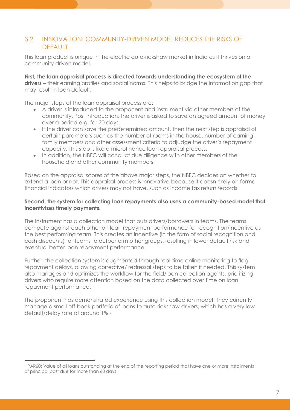#### 3.2 INNOVATION: COMMUNITY-DRIVEN MODEL REDUCES THE RISKS OF DEFAULT

This loan product is unique in the electric auto-rickshaw market in India as it thrives on a community driven model.

**First, the loan appraisal process is directed towards understanding the ecosystem of the drivers** – their earning profiles and social norms. This helps to bridge the information gap that may result in loan default.

The major steps of the loan appraisal process are:

֦

- A driver is introduced to the proponent and instrument via other members of the community. Post introduction, the driver is asked to save an agreed amount of money over a period e.g. for 20 days.
- If the driver can save the predetermined amount, then the next step is appraisal of certain parameters such as the number of rooms in the house, number of earning family members and other assessment criteria to adjudge the driver's repayment capacity. This step is like a microfinance loan appraisal process.
- In addition, the NBFC will conduct due diligence with other members of the household and other community members.

Based on the appraisal scores of the above major steps, the NBFC decides on whether to extend a loan or not. This appraisal process is innovative because it doesn't rely on formal financial indicators which drivers may not have, such as income tax return records.

#### **Second, the system for collecting loan repayments also uses a community-based model that incentivizes timely payments.**

The instrument has a collection model that puts drivers/borrowers in teams. The teams compete against each other on loan repayment performance for recognition/incentive as the best performing team. This creates an incentive (in the form of social recognition and cash discounts) for teams to outperform other groups, resulting in lower default risk and eventual better loan repayment performance.

Further, the collection system is augmented through real-time online monitoring to flag repayment delays, allowing corrective/ redressal steps to be taken if needed. This system also manages and optimizes the workflow for the field/loan collection agents, prioritizing drivers who require more attention based on the data collected over time on loan repayment performance.

The proponent has demonstrated experience using this collection model. They currently manage a small off-book portfolio of loans to auto-rickshaw drivers, which has a very low default/delay rate of around 1%.<sup>8</sup>

<sup>&</sup>lt;sup>8</sup> PAR60: Value of all loans outstanding at the end of the reporting period that have one or more installments of principal past due for more than 60 days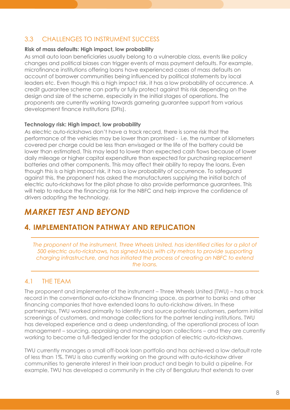## 3.3 CHALLENGES TO INSTRUMENT SUCCESS

#### **Risk of mass defaults: High impact, low probability**

As small auto loan beneficiaries usually belong to a vulnerable class, events like policy changes and political biases can trigger events of mass payment defaults. For example, microfinance institutions offering loans have experienced cases of mass defaults on account of borrower communities being influenced by political statements by local leaders etc. Even though this a high impact risk, it has a low probability of occurrence. A credit guarantee scheme can partly or fully protect against this risk depending on the design and size of the scheme, especially in the initial stages of operations. The proponents are currently working towards garnering guarantee support from various development finance institutions (DFIs).

#### **Technology risk: High impact, low probability**

As electric auto-rickshaws don't have a track record, there is some risk that the performance of the vehicles may be lower than promised - i.e. the number of kilometers covered per charge could be less than envisaged or the life of the battery could be lower than estimated. This may lead to lower than expected cash flows because of lower daily mileage or higher capital expenditure than expected for purchasing replacement batteries and other components. This may affect their ability to repay the loans. Even though this is a high impact risk, it has a low probability of occurrence. To safeguard against this, the proponent has asked the manufacturers supplying the initial batch of electric auto-rickshaws for the pilot phase to also provide performance guarantees. This will help to reduce the financing risk for the NBFC and help improve the confidence of drivers adopting the technology.

## *MARKET TEST AND BEYOND*

## **4. IMPLEMENTATION PATHWAY AND REPLICATION**

The proponent of the instrument, Three Wheels United, has identified cities for a pilot of *500 electric auto-rickshaws, has signed MoUs with city metros to provide supporting charging infrastructure, and has initiated the process of creating an NBFC to extend the loans.* 

## 4.1 THE TEAM

The proponent and implementer of the instrument – Three Wheels United (TWU) – has a track record in the conventional auto-rickshaw financing space, as partner to banks and other financing companies that have extended loans to auto-rickshaw drivers. In these partnerships, TWU worked primarily to identify and source potential customers, perform initial screenings of customers, and manage collections for the partner lending institutions. TWU has developed experience and a deep understanding, of the operational process of loan management – sourcing, appraising and managing loan collections – and they are currently working to become a full-fledged lender for the adoption of electric auto-rickshaws.

TWU currently manages a small off-book loan portfolio and has achieved a low default rate of less than 1%. TWU is also currently working on the ground with auto-rickshaw driver communities to generate interest in their loan product and begin to build a pipeline. For example, TWU has developed a community in the city of Bengaluru that extends to over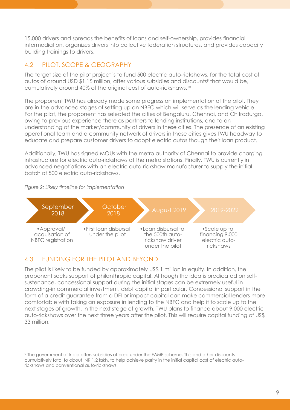15,000 drivers and spreads the benefits of loans and self-ownership, provides financial intermediation, organizes drivers into collective federation structures, and provides capacity building trainings to drivers.

## 4.2 PILOT, SCOPE & GEOGRAPHY

The target size of the pilot project is to fund 500 electric auto-rickshaws, for the total cost of autos of around USD \$1.15 million, after various subsidies and discounts<sup>9</sup> that would be, cumulatively around 40% of the original cost of auto-rickshaws.<sup>10</sup>

The proponent TWU has already made some progress on implementation of the pilot. They are in the advanced stages of setting up an NBFC which will serve as the lending vehicle. For the pilot, the proponent has selected the cities of Bengaluru, Chennai, and Chitradurga, owing to previous experience there as partners to lending institutions, and to an understanding of the market/community of drivers in these cities. The presence of an existing operational team and a community network of drivers in these cities gives TWU headway to educate and prepare customer drivers to adopt electric autos though their loan product.

Additionally, TWU has signed MOUs with the metro authority of Chennai to provide charging infrastructure for electric auto-rickshaws at the metro stations. Finally, TWU is currently in advanced negotiations with an electric auto-rickshaw manufacturer to supply the initial batch of 500 electric auto-rickshaws.

#### *Figure 2: Likely timeline for implementation*

֦



## 4.3 FUNDING FOR THE PILOT AND BEYOND

The pilot is likely to be funded by approximately US\$ 1 million in equity. In addition, the proponent seeks support of philanthropic capital. Although the idea is predicated on selfsustenance, concessional support during the initial stages can be extremely useful in crowding-in commercial investment, debt capital in particular. Concessional support in the form of a credit guarantee from a DFI or impact capital can make commercial lenders more comfortable with taking an exposure in lending to the NBFC and help it to scale up to the next stages of growth. In the next stage of growth, TWU plans to finance about 9,000 electric auto-rickshaws over the next three years after the pilot. This will require capital funding of US\$ 33 million.

<sup>9</sup> The government of India offers subsidies offered under the FAME scheme. This and other discounts cumulatively total to about INR 1.2 lakh, to help achieve parity in the initial capital cost of electric autorickshaws and conventional auto-rickshaws.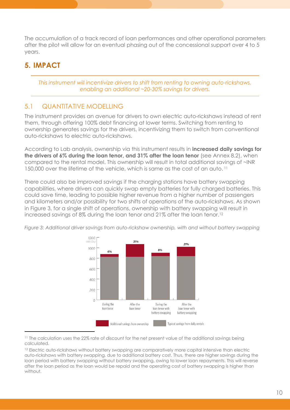The accumulation of a track record of loan performances and other operational parameters after the pilot will allow for an eventual phasing out of the concessional support over 4 to 5 years.

## **5. IMPACT**

֦

*This instrument will incentivize drivers to shift from renting to owning auto-rickshaws, enabling an additional ~20-30% savings for drivers.* 

## 5.1 QUANTITATIVE MODELLING

The instrument provides an avenue for drivers to own electric auto-rickshaws instead of rent them, through offering 100% debt financing at lower terms. Switching from renting to ownership generates savings for the drivers, incentivizing them to switch from conventional auto-rickshaws to electric auto-rickshaws.

According to Lab analysis, ownership via this instrument results in **increased daily savings for the drivers of 6% during the loan tenor, and 31% after the loan tenor** (see Annex 8.2), when compared to the rental model. This ownership will result in total additional savings of ~INR 150,000 over the lifetime of the vehicle, which is same as the cost of an auto. <sup>11</sup>

There could also be improved savings if the charging stations have battery swapping capabilities, where drivers can quickly swap empty batteries for fully charged batteries. This could save time, leading to possible higher revenue from a higher number of passengers and kilometers and/or possibility for two shifts of operations of the auto-rickshaws. As shown in Figure 3, for a single shift of operations, ownership with battery swapping will result in increased savings of 8% during the loan tenor and 21% after the loan tenor.12  $\,$ 



*Figure 3: Additional driver savings from auto-rickshaw ownership, with and without battery swapping* 

<sup>11</sup> The calculation uses the 22% rate of discount for the net present value of the additional savings being calculated.

<sup>12</sup> Electric auto-rickshaws without battery swapping are comparatively more capital intensive than electric auto-rickshaws with battery swapping, due to additional battery cost. Thus, there are higher savings during the loan period with battery swapping without battery swapping, owing to lower loan repayments. This will reverse after the loan period as the loan would be repaid and the operating cost of battery swapping is higher than without.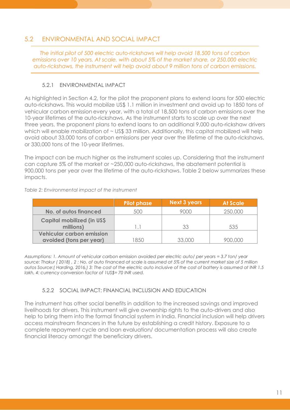#### 5.2 ENVIRONMENTAL AND SOCIAL IMPACT

*The initial pilot of 500 electric auto-rickshaws will help avoid 18,500 tons of carbon emissions over 10 years. At scale, with about 5% of the market share, or 250,000 electric auto-rickshaws, the instrument will help avoid about 9 million tons of carbon emissions.*

#### 5.2.1 ENVIRONMENTAL IMPACT

As highlighted in Section 4.2, for the pilot the proponent plans to extend loans for 500 electric auto-rickshaws. This would mobilize US\$ 1.1 million in investment and avoid up to 1850 tons of vehicular carbon emission every year, with a total of 18,500 tons of carbon emissions over the 10-year lifetimes of the auto-rickshaws. As the instrument starts to scale up over the next three years, the proponent plans to extend loans to an additional 9,000 auto-rickshaw drivers which will enable mobilization of ~ US\$ 33 million. Additionally, this capital mobilized will help avoid about 33,000 tons of carbon emissions per year over the lifetime of the auto-rickshaws, or 330,000 tons of the 10-year lifetimes.

The impact can be much higher as the instrument scales up. Considering that the instrument can capture 5% of the market or ~250,000 auto-rickshaws, the abatement potential is 900,000 tons per year over the lifetime of the auto-rickshaws. Table 2 below summarizes these impacts.

|                                    | <b>Pilot phase</b> | Next 3 years | <b>At Scale</b> |
|------------------------------------|--------------------|--------------|-----------------|
| <b>No. of autos financed</b>       | 500                | 9000         | 250,000         |
| <b>Capital mobilized (in US\$)</b> |                    |              |                 |
| millions)                          |                    | 33           | 535             |
| <b>Vehicular carbon emission</b>   |                    |              |                 |
| avoided (tons per year)            | 850                | 33,000       |                 |

*Table 2: Environmental impact of the instrument* 

*Assumptions: 1. Amount of vehicular carbon emission avoided per electric auto/ per years = 3.7 ton/ year source: Thakur ( 2018) , 2 : No. of auto financed at scale is assumed at 5% of the current market size of 5 million autos Source:( Harding, 2016,) 3: The cost of the electric auto inclusive of the cost of battery is assumed at INR 1.5 lakh, 4: currency conversion factor of 1US\$= 70 INR used.* 

#### 5.2.2 SOCIAL IMPACT: FINANCIAL INCLUSION AND EDUCATION

The instrument has other social benefits in addition to the increased savings and improved livelihoods for drivers. This instrument will give ownership rights to the auto-drivers and also help to bring them into the formal financial system in India. Financial inclusion will help drivers access mainstream financers in the future by establishing a credit history. Exposure to a complete repayment cycle and loan evaluation/ documentation process will also create financial literacy amongst the beneficiary drivers.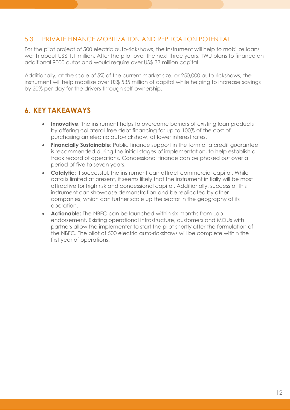#### 5.3 PRIVATE FINANCE MOBILIZATION AND REPLICATION POTENTIAL

For the pilot project of 500 electric auto-rickshaws, the instrument will help to mobilize loans worth about US\$ 1.1 million. After the pilot over the next three years, TWU plans to finance an additional 9000 autos and would require over US\$ 33 million capital.

Additionally, at the scale of 5% of the current market size, or 250,000 auto-rickshaws, the instrument will help mobilize over US\$ 535 million of capital while helping to increase savings by 20% per day for the drivers through self-ownership.

## **6. KEY TAKEAWAYS**

- **Innovative**: The instrument helps to overcome barriers of existing loan products by offering collateral-free debt financing for up to 100% of the cost of purchasing an electric auto-rickshaw, at lower interest rates.
- **Financially Sustainable**: Public finance support in the form of a credit guarantee is recommended during the initial stages of implementation, to help establish a track record of operations. Concessional finance can be phased out over a period of five to seven years.
- **Catalytic:** If successful, the instrument can attract commercial capital. While data is limited at present, it seems likely that the instrument initially will be most attractive for high risk and concessional capital. Additionally, success of this instrument can showcase demonstration and be replicated by other companies, which can further scale up the sector in the geography of its operation.
- **Actionable:** The NBFC can be launched within six months from Lab endorsement. Existing operational infrastructure, customers and MOUs with partners allow the implementer to start the pilot shortly after the formulation of the NBFC. The pilot of 500 electric auto-rickshaws will be complete within the first year of operations.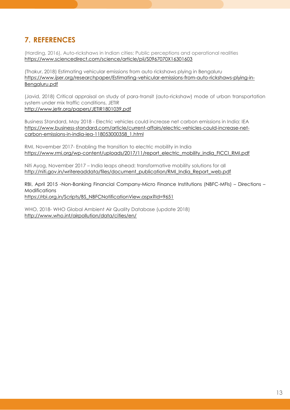## **7. REFERENCES**

(Harding, 2016), Auto-rickshaws in Indian cities: Public perceptions and operational realities <https://www.sciencedirect.com/science/article/pii/S0967070X16301603>

(Thakur, 2018) Estimating vehicular emissions from auto rickshaws plying in Bengaluru [https://www.ijser.org/researchpaper/Estimating-vehicular-emissions-from-auto-rickshaws-plying-in-](https://www.ijser.org/researchpaper/Estimating-vehicular-emissions-from-auto-rickshaws-plying-in-Bengaluru.pdf)[Bengaluru.pdf](https://www.ijser.org/researchpaper/Estimating-vehicular-emissions-from-auto-rickshaws-plying-in-Bengaluru.pdf) 

(Javid, 2018) Critical appraisal on study of para-transit (auto-rickshaw) mode of urban transportation system under mix traffic conditions, JETIR <http://www.jetir.org/papers/JETIR1801039.pdf>

Business Standard, May 2018 - Electric vehicles could increase net carbon emissions in India: IEA [https://www.business-standard.com/article/current-affairs/electric-vehicles-could-increase-net](https://www.business-standard.com/article/current-affairs/electric-vehicles-could-increase-net-carbon-emissions-in-india-iea-118053000358_1.html)[carbon-emissions-in-india-iea-118053000358\\_1.html](https://www.business-standard.com/article/current-affairs/electric-vehicles-could-increase-net-carbon-emissions-in-india-iea-118053000358_1.html)

RMI, November 2017- Enabling the transition to electric mobility in India [https://www.rmi.org/wp-content/uploads/2017/11/report\\_electric\\_mobility\\_india\\_FICCI\\_RMI.pdf](https://www.rmi.org/wp-content/uploads/2017/11/report_electric_mobility_india_FICCI_RMI.pdf)

Niti Ayog, November 2017 – India leaps ahead: transformative mobility solutions for all http://niti.gov.in/writereaddata/files/document\_publication/RMI\_India\_Report\_web.pdf

RBI, April 2015 -Non-Banking Financial Company-Micro Finance Institutions (NBFC-MFIs) – Directions – Modifications [https://rbi.org.in/Scripts/BS\\_NBFCNotificationView.aspx?Id=9651](https://rbi.org.in/Scripts/BS_NBFCNotificationView.aspx?Id=9651)

WHO, 2018- WHO Global Ambient Air Quality Database (update 2018) <http://www.who.int/airpollution/data/cities/en/>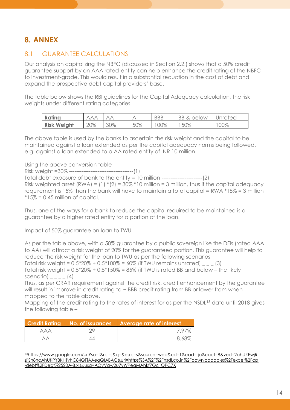## **8. ANNEX**

## 8.1 GUARANTEE CALCULATIONS

Our analysis on capitalizing the NBFC (discussed in Section 2.2.) shows that a 50% credit guarantee support by an AAA rated-entity can help enhance the credit rating of the NBFC to investment-grade. This would result in a substantial reduction in the cost of debt and expand the prospective debt capital providers' base.

The table below shows the RBI guidelines for the Capital Adequacy calculation, the risk weights under different rating categories.

| Rating             | АΑ<br>А | $\rightarrow$ |     | <b>BBB</b> | BB.<br>below<br>" | Unrated |
|--------------------|---------|---------------|-----|------------|-------------------|---------|
| <b>Risk Weight</b> | 20%     | 30%           | 50% | 00%        | 50%               | 00%     |

The above table is used by the banks to ascertain the risk weight and the capital to be maintained against a loan extended as per the capital adequacy norms being followed, e.g. against a loan extended to a AA rated entity of INR 10 million.

Using the above conversion table

Risk weight =30% ------------------------------------(1) Total debt exposure of bank to the entity = 10 million -----------------------(2) Risk weighted asset  $(RWA) = (1) * (2) = 30\% *10$  million = 3 million, thus if the capital adequacy requirement is 15% than the bank will have to maintain a total capital = RWA \*15% = 3 million  $*15\% = 0.45$  million of capital.

Thus, one of the ways for a bank to reduce the capital required to be maintained is a guarantee by a higher rated entity for a portion of the loan.

#### Impact of 50% guarantee on loan to TWU

֦

As per the table above, with a 50% guarantee by a public sovereign like the DFIs (rated AAA to AA) will attract a risk weight of 20% for the guaranteed portion. This guarantee will help to reduce the risk weight for the loan to TWU as per the following scenarios Total risk weight =  $0.5*20\% + 0.5*100\% = 60\%$  (if TWU remains unrated)  $_{\text{max}}$  (3)

Total risk weight =  $0.5*20\% + 0.5*150\% = 85\%$  (if TWU is rated BB and below – the likely scenario)  $\sqrt{2}$   $\sqrt{4}$ 

Thus, as per CRAR requirement against the credit risk, credit enhancement by the guarantee will result in improve in credit rating to  $\sim$  BBB credit rating from BB or lower from when mapped to the table above.

Mapping of the credit rating to the rates of interest for as per the NSDL<sup>13</sup> data until 2018 gives the following table –

| <b>Credit Rating</b> | No. of issuances | <b>Average rate of interest</b> |
|----------------------|------------------|---------------------------------|
| ААА                  |                  | 797%                            |
| AА                   |                  | 8.68%                           |

<sup>13</sup>[https://www.google.com/url?sa=t&rct=j&q=&esrc=s&source=web&cd=1&cad=rja&uact=8&ved=2ahUKEwjR](https://www.google.com/url?sa=t&rct=j&q=&esrc=s&source=web&cd=1&cad=rja&uact=8&ved=2ahUKEwjRzIiSh8ncAhUKPY8KHTvhC84QFjAAegQIABAC&url=https%3A%2F%2Fnsdl.co.in%2Fdownloadables%2Fexcel%2Fcp-debt%2FDebt%2520A-B.xls&usg=AOvVaw2u7yWPeqMAhkf7Qc_QPC7X) [zIiSh8ncAhUKPY8KHTvhC84QFjAAegQIABAC&url=https%3A%2F%2Fnsdl.co.in%2Fdownloadables%2Fexcel%2Fcp](https://www.google.com/url?sa=t&rct=j&q=&esrc=s&source=web&cd=1&cad=rja&uact=8&ved=2ahUKEwjRzIiSh8ncAhUKPY8KHTvhC84QFjAAegQIABAC&url=https%3A%2F%2Fnsdl.co.in%2Fdownloadables%2Fexcel%2Fcp-debt%2FDebt%2520A-B.xls&usg=AOvVaw2u7yWPeqMAhkf7Qc_QPC7X) [-debt%2FDebt%2520A-B.xls&usg=AOvVaw2u7yWPeqMAhkf7Qc\\_QPC7X](https://www.google.com/url?sa=t&rct=j&q=&esrc=s&source=web&cd=1&cad=rja&uact=8&ved=2ahUKEwjRzIiSh8ncAhUKPY8KHTvhC84QFjAAegQIABAC&url=https%3A%2F%2Fnsdl.co.in%2Fdownloadables%2Fexcel%2Fcp-debt%2FDebt%2520A-B.xls&usg=AOvVaw2u7yWPeqMAhkf7Qc_QPC7X)